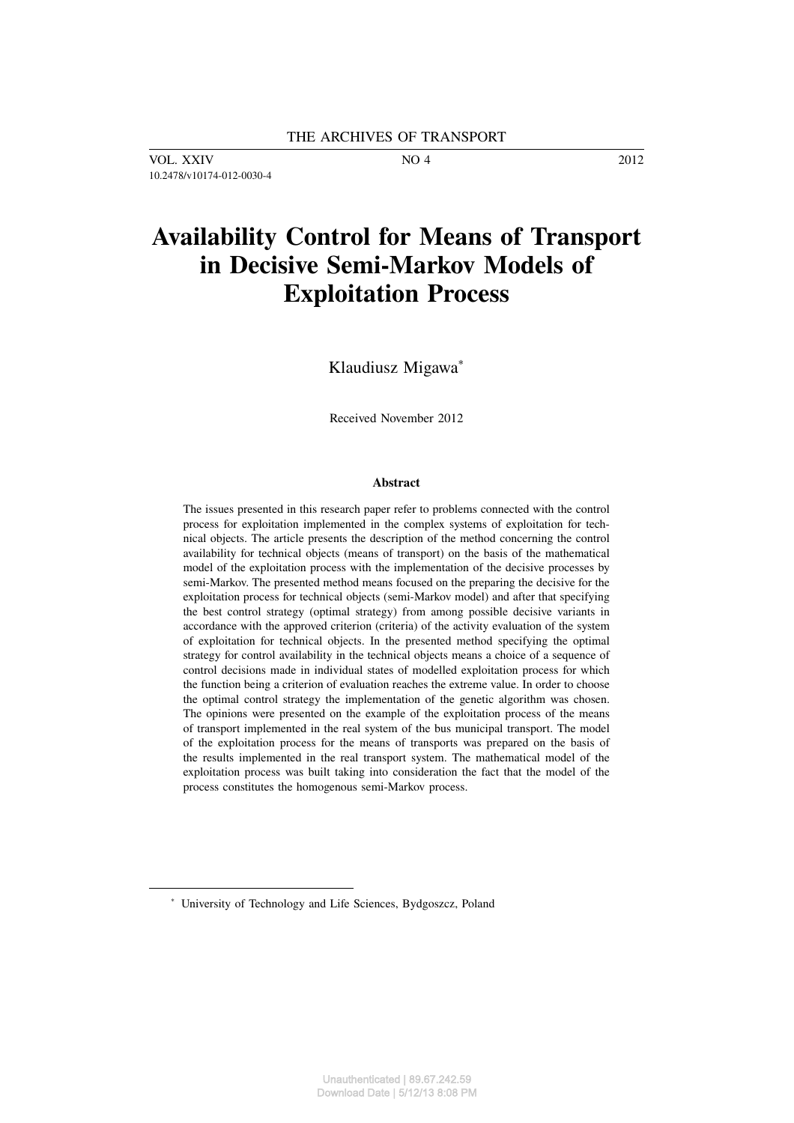VOL. XXIV NO 4 2012 10.2478/v10174-012-0030-4

# **Availability Control for Means of Transport in Decisive Semi-Markov Models of Exploitation Process**

Klaudiusz Migawa<sup>∗</sup>

Received November 2012

#### **Abstract**

The issues presented in this research paper refer to problems connected with the control process for exploitation implemented in the complex systems of exploitation for technical objects. The article presents the description of the method concerning the control availability for technical objects (means of transport) on the basis of the mathematical model of the exploitation process with the implementation of the decisive processes by semi-Markov. The presented method means focused on the preparing the decisive for the exploitation process for technical objects (semi-Markov model) and after that specifying the best control strategy (optimal strategy) from among possible decisive variants in accordance with the approved criterion (criteria) of the activity evaluation of the system of exploitation for technical objects. In the presented method specifying the optimal strategy for control availability in the technical objects means a choice of a sequence of control decisions made in individual states of modelled exploitation process for which the function being a criterion of evaluation reaches the extreme value. In order to choose the optimal control strategy the implementation of the genetic algorithm was chosen. The opinions were presented on the example of the exploitation process of the means of transport implemented in the real system of the bus municipal transport. The model of the exploitation process for the means of transports was prepared on the basis of the results implemented in the real transport system. The mathematical model of the exploitation process was built taking into consideration the fact that the model of the process constitutes the homogenous semi-Markov process.

<sup>∗</sup> University of Technology and Life Sciences, Bydgoszcz, Poland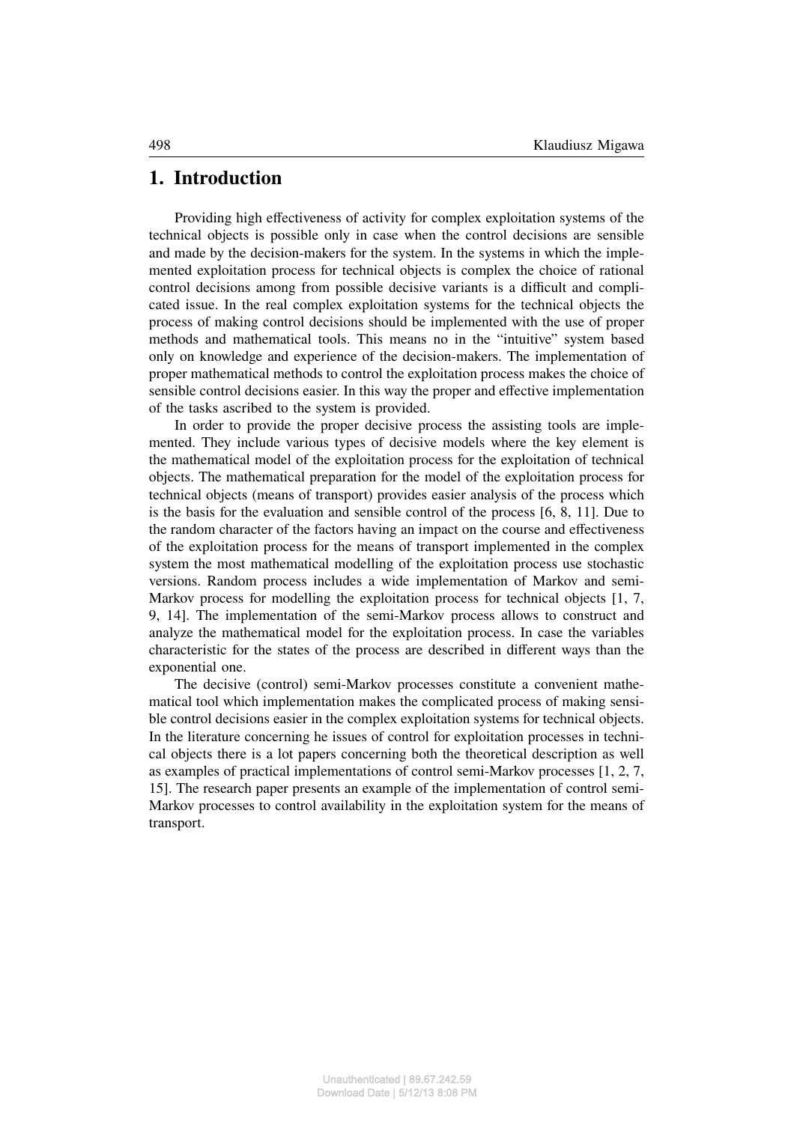#### **1. Introduction**

Providing high effectiveness of activity for complex exploitation systems of the technical objects is possible only in case when the control decisions are sensible and made by the decision-makers for the system. In the systems in which the implemented exploitation process for technical objects is complex the choice of rational control decisions among from possible decisive variants is a difficult and complicated issue. In the real complex exploitation systems for the technical objects the process of making control decisions should be implemented with the use of proper methods and mathematical tools. This means no in the "intuitive" system based only on knowledge and experience of the decision-makers. The implementation of proper mathematical methods to control the exploitation process makes the choice of sensible control decisions easier. In this way the proper and effective implementation of the tasks ascribed to the system is provided.

In order to provide the proper decisive process the assisting tools are implemented. They include various types of decisive models where the key element is the mathematical model of the exploitation process for the exploitation of technical objects. The mathematical preparation for the model of the exploitation process for technical objects (means of transport) provides easier analysis of the process which is the basis for the evaluation and sensible control of the process [6, 8, 11]. Due to the random character of the factors having an impact on the course and effectiveness of the exploitation process for the means of transport implemented in the complex system the most mathematical modelling of the exploitation process use stochastic versions. Random process includes a wide implementation of Markov and semi-Markov process for modelling the exploitation process for technical objects [1, 7, 9, 14]. The implementation of the semi-Markov process allows to construct and analyze the mathematical model for the exploitation process. In case the variables characteristic for the states of the process are described in different ways than the exponential one.

The decisive (control) semi-Markov processes constitute a convenient mathematical tool which implementation makes the complicated process of making sensible control decisions easier in the complex exploitation systems for technical objects. In the literature concerning he issues of control for exploitation processes in technical objects there is a lot papers concerning both the theoretical description as well as examples of practical implementations of control semi-Markov processes [1, 2, 7, 15]. The research paper presents an example of the implementation of control semi-Markov processes to control availability in the exploitation system for the means of transport.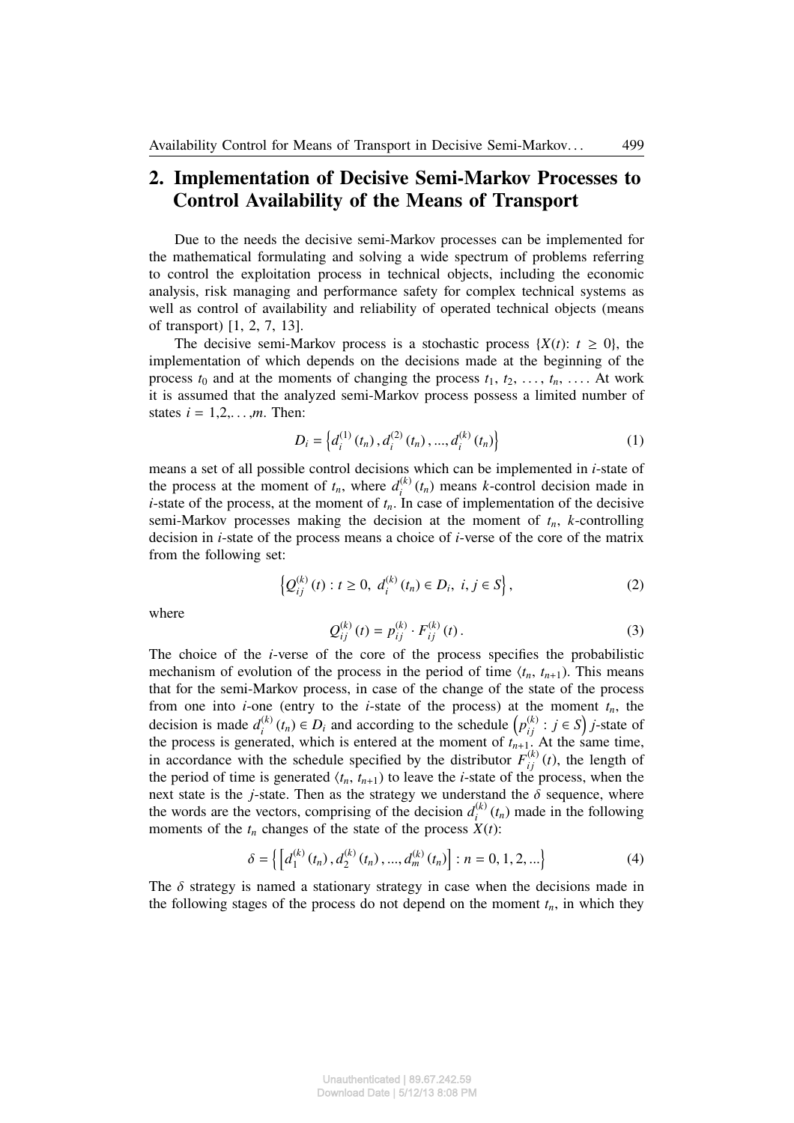### **2. Implementation of Decisive Semi-Markov Processes to Control Availability of the Means of Transport**

Due to the needs the decisive semi-Markov processes can be implemented for the mathematical formulating and solving a wide spectrum of problems referring to control the exploitation process in technical objects, including the economic analysis, risk managing and performance safety for complex technical systems as well as control of availability and reliability of operated technical objects (means of transport) [1, 2, 7, 13].

The decisive semi-Markov process is a stochastic process  $\{X(t): t \geq 0\}$ , the implementation of which depends on the decisions made at the beginning of the process  $t_0$  and at the moments of changing the process  $t_1, t_2, \ldots, t_n, \ldots$ . At work it is assumed that the analyzed semi-Markov process possess a limited number of states  $i = 1, 2, \ldots, m$ . Then:

$$
D_i = \left\{ d_i^{(1)}(t_n), d_i^{(2)}(t_n), ..., d_i^{(k)}(t_n) \right\}
$$
 (1)

means a set of all possible control decisions which can be implemented in *i*-state of the process at the moment of  $t_n$ , where  $d_i^{(k)}$  $i^{(k)}(t_n)$  means *k*-control decision made in *i*-state of the process, at the moment of  $t_n$ . In case of implementation of the decisive semi-Markov processes making the decision at the moment of  $t_n$ , *k*-controlling decision in *i*-state of the process means a choice of *i*-verse of the core of the matrix from the following set:

$$
\left\{ Q_{ij}^{(k)}(t) : t \ge 0, \ d_i^{(k)}(t_n) \in D_i, \ i, j \in S \right\},\tag{2}
$$

where

$$
Q_{ij}^{(k)}(t) = p_{ij}^{(k)} \cdot F_{ij}^{(k)}(t).
$$
 (3)

The choice of the *i*-verse of the core of the process specifies the probabilistic mechanism of evolution of the process in the period of time  $\langle t_n, t_{n+1} \rangle$ . This means that for the semi-Markov process, in case of the change of the state of the process from one into *i*-one (entry to the *i*-state of the process) at the moment  $t_n$ , the decision is made  $d_i^{(k)}$ *i*(*k*) (*t<sub>n</sub>*) ∈ *D<sub><i>i*</sub> and according to the schedule  $\left(p_{ij}^{(k)}: j \in S\right)$  *j*-state of the process is generated, which is entered at the moment of  $t_{n+1}$ . At the same time, in accordance with the schedule specified by the distributor  $F_{ij}^{(k)}(t)$ , the length of the period of time is generated  $\langle t_n, t_{n+1} \rangle$  to leave the *i*-state of the process, when the next state is the *j*-state. Then as the strategy we understand the  $\delta$  sequence, where the words are the vectors, comprising of the decision  $d_i^{(k)}$  $\int_{i}^{(k)} (t_n)$  made in the following moments of the  $t_n$  changes of the state of the process  $X(t)$ :

$$
\delta = \left\{ \left[ d_1^{(k)}(t_n), d_2^{(k)}(t_n), ..., d_m^{(k)}(t_n) \right] : n = 0, 1, 2, ... \right\}
$$
 (4)

The  $\delta$  strategy is named a stationary strategy in case when the decisions made in the following stages of the process do not depend on the moment  $t_n$ , in which they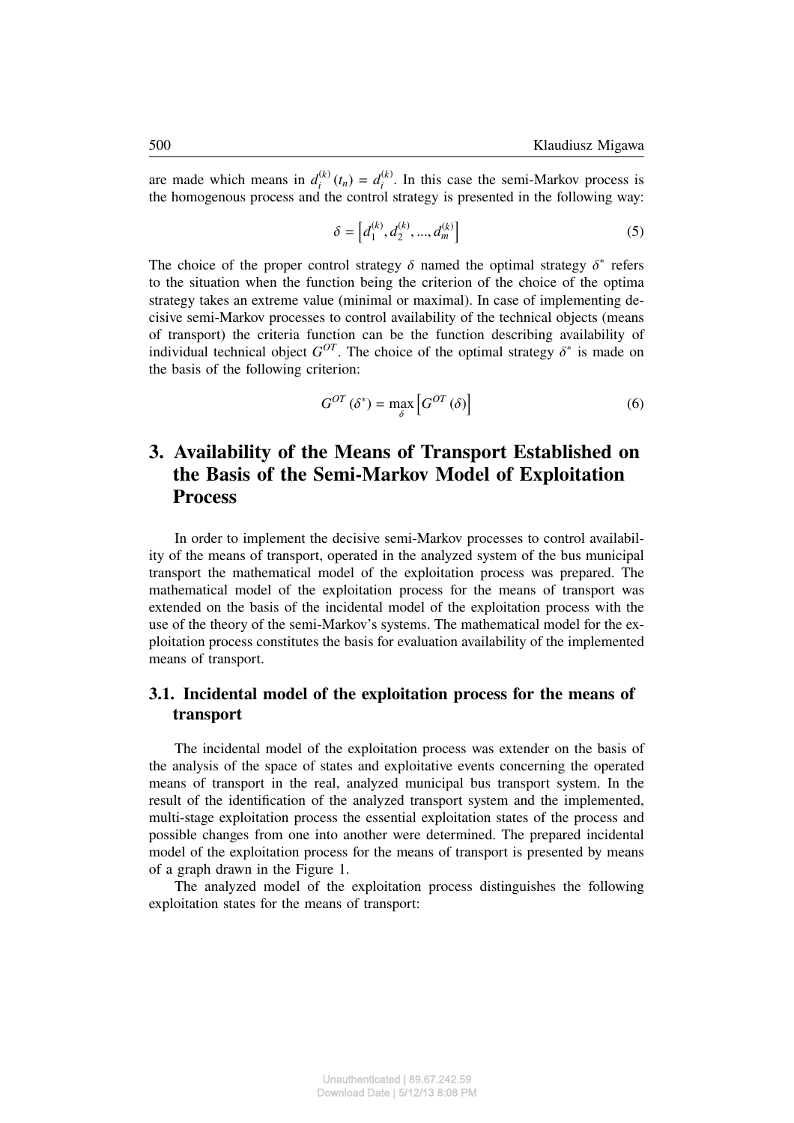are made which means in  $d_i^{(k)}$  $d_i^{(k)}(t_n) = d_i^{(k)}$  $i^{(k)}$ . In this case the semi-Markov process is the homogenous process and the control strategy is presented in the following way:

$$
\delta = \left[ d_1^{(k)}, d_2^{(k)}, ..., d_m^{(k)} \right] \tag{5}
$$

The choice of the proper control strategy  $\delta$  named the optimal strategy  $\delta^*$  refers to the situation when the function being the criterion of the choice of the optima strategy takes an extreme value (minimal or maximal). In case of implementing decisive semi-Markov processes to control availability of the technical objects (means of transport) the criteria function can be the function describing availability of individual technical object  $G^{OT}$ . The choice of the optimal strategy  $\delta^*$  is made on the basis of the following criterion:

$$
G^{OT}(\delta^*) = \max_{\delta} \left[ G^{OT}(\delta) \right] \tag{6}
$$

## **3. Availability of the Means of Transport Established on the Basis of the Semi-Markov Model of Exploitation Process**

In order to implement the decisive semi-Markov processes to control availability of the means of transport, operated in the analyzed system of the bus municipal transport the mathematical model of the exploitation process was prepared. The mathematical model of the exploitation process for the means of transport was extended on the basis of the incidental model of the exploitation process with the use of the theory of the semi-Markov's systems. The mathematical model for the exploitation process constitutes the basis for evaluation availability of the implemented means of transport.

#### **3.1. Incidental model of the exploitation process for the means of transport**

The incidental model of the exploitation process was extender on the basis of the analysis of the space of states and exploitative events concerning the operated means of transport in the real, analyzed municipal bus transport system. In the result of the identification of the analyzed transport system and the implemented, multi-stage exploitation process the essential exploitation states of the process and possible changes from one into another were determined. The prepared incidental model of the exploitation process for the means of transport is presented by means of a graph drawn in the Figure 1.

The analyzed model of the exploitation process distinguishes the following exploitation states for the means of transport: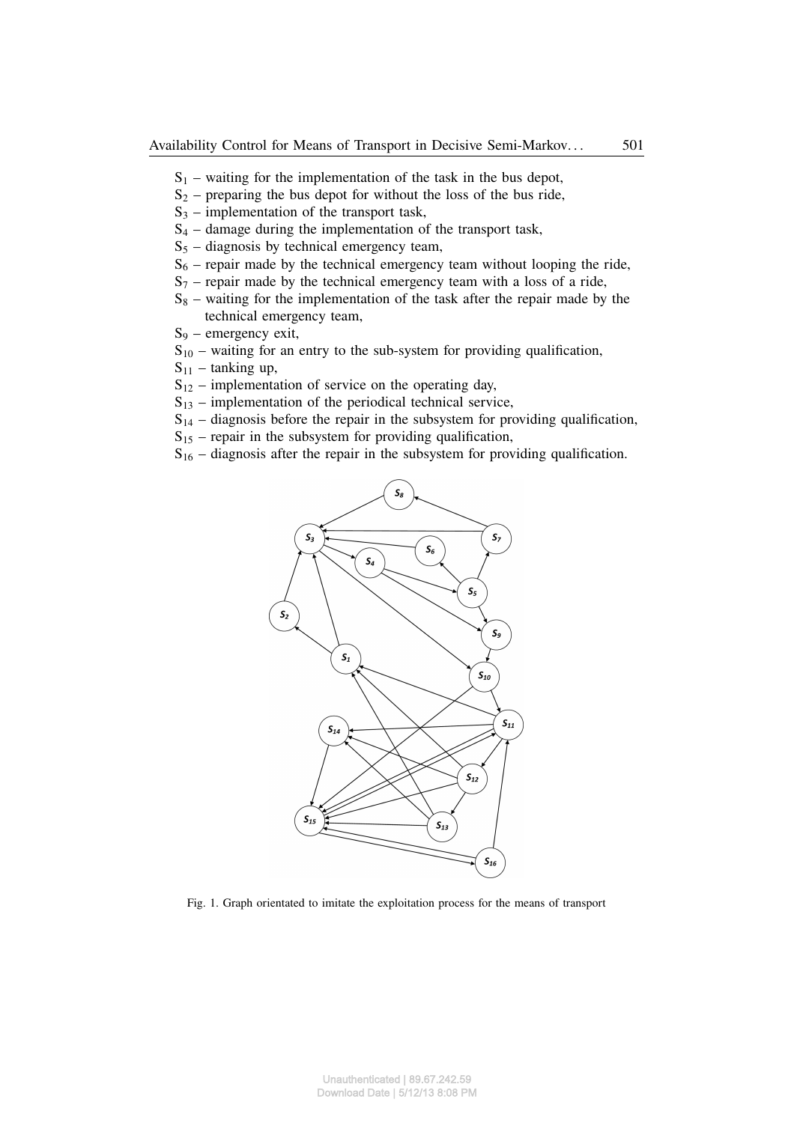- $S_1$  waiting for the implementation of the task in the bus depot,
- $S_2$  preparing the bus depot for without the loss of the bus ride,
- $S_3$  implementation of the transport task,
- $S_4$  damage during the implementation of the transport task,
- $S<sub>5</sub>$  diagnosis by technical emergency team,
- $S_6$  repair made by the technical emergency team without looping the ride,
- $S_7$  repair made by the technical emergency team with a loss of a ride,
- $S_8$  waiting for the implementation of the task after the repair made by the technical emergency team,
- $S_9$  emergency exit,
- $S_{10}$  waiting for an entry to the sub-system for providing qualification,
- $S_{11}$  tanking up,
- $S_{12}$  implementation of service on the operating day,
- $S_{13}$  implementation of the periodical technical service,
- $S_{14}$  diagnosis before the repair in the subsystem for providing qualification,
- $S_{15}$  repair in the subsystem for providing qualification,
- $S_{16}$  diagnosis after the repair in the subsystem for providing qualification.



Fig. 1. Graph orientated to imitate the exploitation process for the means of transport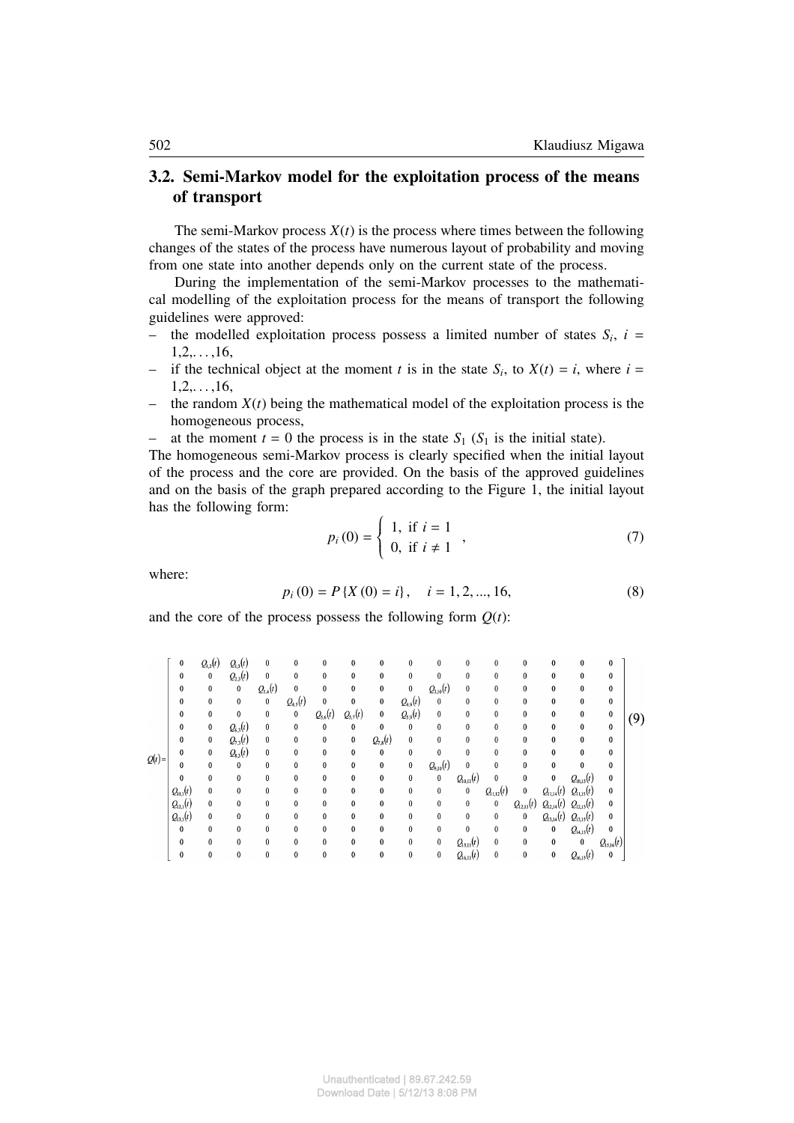#### **3.2. Semi-Markov model for the exploitation process of the means of transport**

The semi-Markov process  $X(t)$  is the process where times between the following changes of the states of the process have numerous layout of probability and moving from one state into another depends only on the current state of the process.

During the implementation of the semi-Markov processes to the mathematical modelling of the exploitation process for the means of transport the following guidelines were approved:

- the modelled exploitation process possess a limited number of states  $S_i$ ,  $i =$  $1, 2, \ldots, 16,$
- if the technical object at the moment *t* is in the state  $S_i$ , to  $X(t) = i$ , where  $i =$  $1, 2, \ldots, 16,$
- the random  $X(t)$  being the mathematical model of the exploitation process is the homogeneous process,
- at the moment  $t = 0$  the process is in the state  $S_1$  ( $S_1$  is the initial state).

The homogeneous semi-Markov process is clearly specified when the initial layout of the process and the core are provided. On the basis of the approved guidelines and on the basis of the graph prepared according to the Figure 1, the initial layout has the following form:  $\overline{a}$ 

$$
p_i(0) = \begin{cases} 1, & \text{if } i = 1 \\ 0, & \text{if } i \neq 1 \end{cases},
$$
 (7)

where:

$$
p_i(0) = P\{X(0) = i\}, \quad i = 1, 2, ..., 16,
$$
\n(8)

and the core of the process possess the following form  $Q(t)$ :

|          | $\bf{0}$      | $Q_{1,2}(t)$ | $Q_{1,3}(t)$ | 0            | 0            | $\bf{0}$     | 0            | $\bf{0}$     | $\bf{0}$     | $\bf{0}$      | 0                    | 0             | 0              | 0                             | 0              | 0              |     |
|----------|---------------|--------------|--------------|--------------|--------------|--------------|--------------|--------------|--------------|---------------|----------------------|---------------|----------------|-------------------------------|----------------|----------------|-----|
|          | $\theta$      | $\pmb{0}$    | $Q_{2,3}(t)$ | $\bf{0}$     | 0            | $\bf{0}$     | 0            | $\bf{0}$     | $\bf{0}$     | $\bf{0}$      | 0                    | 0             | $\bf{0}$       | 0                             | 0              | 0              |     |
|          | $\theta$      | $\bf{0}$     | $\bf{0}$     | $Q_{3,4}(t)$ | $\bf{0}$     | $\mathbf{0}$ | 0            | $\bf{0}$     | $\bf{0}$     | $Q_{3,10}(t)$ | 0                    | $\bf{0}$      | $\bf{0}$       | $\theta$                      | 0              | 0              |     |
|          | $\bf{0}$      | $\bf{0}$     | $\bf{0}$     | $\pmb{0}$    | $Q_{4,5}(t)$ | $\bf{0}$     | $\bf{0}$     | $\bf{0}$     | $Q_{4,9}(t)$ | $\bf{0}$      | 0                    | 0             | 0              | 0                             | 0              | 0              |     |
|          | $\mathbf{0}$  | $\bf{0}$     | $\bf{0}$     | 0            | $\bf{0}$     | $Q_{5,6}(t)$ | $Q_{5,7}(t)$ | $\pmb{0}$    | $Q_{5,9}(t)$ | $\bf{0}$      | 0                    | 0             | $\bf{0}$       | 0                             | 0              | $\pmb{0}$      | (9) |
|          | $\theta$      | $\bf{0}$     | $Q_{6,3}(t)$ | 0            | $\bf{0}$     | $\bf{0}$     | $\mathbf{0}$ | $\bf{0}$     | $\bf{0}$     | $\mathbf{0}$  | 0                    | $\bf{0}$      | $\bf{0}$       | $\theta$                      | $\bf{0}$       | $\bf{0}$       |     |
|          | $\bf{0}$      | $\bf{0}$     | $Q_{7,3}(t)$ | 0            | 0            | $\bf{0}$     | $\bf{0}$     | $Q_{7,8}(t)$ | $\bf{0}$     | $\bf{0}$      | 0                    | 0             | $\bf{0}$       | 0                             | $\bf{0}$       | $\bf{0}$       |     |
|          | $\theta$      | 0            | $Q_{8,3}(t)$ | 0            | $\bf{0}$     | 0            | $\theta$     | $\bf{0}$     | $\bf{0}$     | $\mathbf{0}$  | 0                    | 0             | $\bf{0}$       | 0                             | 0              | 0              |     |
| $Q(t)$ = | $\theta$      | $\theta$     | $\mathbf{0}$ | 0            | $\mathbf{0}$ | $\bf{0}$     | 0            | $\bf{0}$     | $\bf{0}$     | $Q_{9,10}(t)$ | $\bf{0}$             | $\bf{0}$      | $\bf{0}$       | 0                             | $\bf{0}$       | $\bf{0}$       |     |
|          | $\bf{0}$      | $\bf{0}$     | $\theta$     | 0            | $\bf{0}$     | $\bf{0}$     | $\theta$     | $\bf{0}$     | $\bf{0}$     | $\pmb{0}$     | $Q_{10,11}(t)$       | $\bf{0}$      | 0              | $\bf{0}$                      | $Q_{10,15}(t)$ | $\bf{0}$       |     |
|          | $Q_{1,1}(t)$  | $\bf{0}$     | $\mathbf{0}$ | 0            | 0            | $\bf{0}$     | 0            | $\bf{0}$     | $\bf{0}$     | $\bf{0}$      | 0                    | $Q_{1,12}(t)$ | $\bf{0}$       | $Q_{11,14}(t)$                | $Q_{11,15}(t)$ | $\bf{0}$       |     |
|          | $Q_{12,1}(t)$ | $\bf{0}$     | $\Omega$     | 0            | 0            | $\bf{0}$     | 0            | $\bf{0}$     | $\bf{0}$     | $\bf{0}$      | 0                    | $\bf{0}$      | $Q_{12,13}(t)$ | $Q_{12,14}(t)$ $Q_{12,15}(t)$ |                | 0              |     |
|          | $Q_{13,1}(t)$ | $\bf{0}$     | 0            | 0            | $\bf{0}$     | $\mathbf{0}$ | 0            | $\bf{0}$     | $\bf{0}$     | $\bf{0}$      | 0                    | $\bf{0}$      | $\bf{0}$       | $Q_{13,14}(t)$                | $Q_{13,15}(t)$ | 0              |     |
|          | $\bf{0}$      | $\bf{0}$     | 0            | 0            | $\bf{0}$     | $\bf{0}$     | 0            | $\bf{0}$     | $\bf{0}$     | $\bf{0}$      | 0                    | $\bf{0}$      | $\bf{0}$       | $\bf{0}$                      | $Q_{14,15}(t)$ | $\bf{0}$       |     |
|          | $\bf{0}$      | $\bf{0}$     | 0            | 0            | $\bf{0}$     | $\bf{0}$     | $\theta$     | $\theta$     | $\bf{0}$     | $\bf{0}$      | $Q_{15,11}(t)$       | $\bf{0}$      | $\bf{0}$       | $\bf{0}$                      | $\bf{0}$       | $Q_{15,16}(t)$ |     |
|          | $\theta$      | $\bf{0}$     |              | 0            | 0            | $\pmb{0}$    | 0            | 0            | $\bf{0}$     | $\bf{0}$      | $Q_{\text{left}}(t)$ | $\bf{0}$      | 0              | $\bf{0}$                      | $Q_{16,15}(t)$ | $\bf{0}$       |     |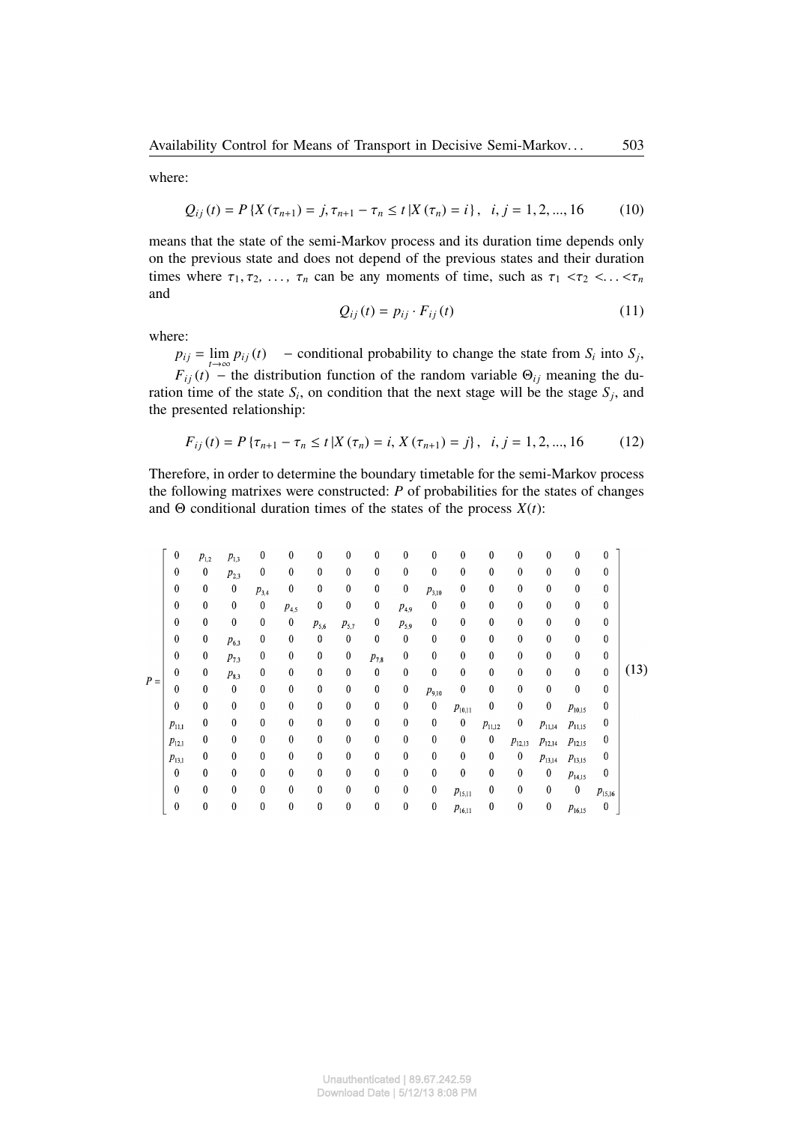where:

$$
Q_{ij}(t) = P\left\{X\left(\tau_{n+1}\right) = j, \tau_{n+1} - \tau_n \le t \middle| X\left(\tau_n\right) = i\right\}, \ \ i, j = 1, 2, ..., 16 \tag{10}
$$

means that the state of the semi-Markov process and its duration time depends only on the previous state and does not depend of the previous states and their duration times where  $\tau_1, \tau_2, \ldots, \tau_n$  can be any moments of time, such as  $\tau_1 < \tau_2 < \ldots < \tau_n$ and

$$
Q_{ij}(t) = p_{ij} \cdot F_{ij}(t) \tag{11}
$$

where:

 $p_{ij} = \lim_{i \to j} p_{ij}(t)$  – conditional probability to change the state from  $S_i$  into  $S_j$ ,  $F_{ij}$  (*t*)  $\rightarrow$  the distribution function of the random variable  $\Theta_{ij}$  meaning the duration time of the state  $S_i$ , on condition that the next stage will be the stage  $S_j$ , and the presented relationship:

$$
F_{ij}(t) = P\left\{\tau_{n+1} - \tau_n \le t \, |X(\tau_n) = i, X(\tau_{n+1}) = j\right\}, \quad i, j = 1, 2, \dots, 16 \tag{12}
$$

Therefore, in order to determine the boundary timetable for the semi-Markov process the following matrixes were constructed: *P* of probabilities for the states of changes and  $\Theta$  conditional duration times of the states of the process  $X(t)$ :

|       | $\boldsymbol{0}$ | $p_{1,2}$        | $p_{1,3}$        | $\boldsymbol{0}$ | $\bf{0}$         | 0         | 0                | 0                | $\boldsymbol{0}$ | 0                | $\boldsymbol{0}$ | $\boldsymbol{0}$ | $\boldsymbol{0}$ | 0           | $\boldsymbol{0}$ | 0                |      |
|-------|------------------|------------------|------------------|------------------|------------------|-----------|------------------|------------------|------------------|------------------|------------------|------------------|------------------|-------------|------------------|------------------|------|
|       | $\bf{0}$         | $\mathbf{0}$     | $p_{2,3}$        | 0                | $\bf{0}$         | 0         | 0                | 0                | $\bf{0}$         | $\boldsymbol{0}$ | $\mathbf{0}$     | $\mathbf{0}$     | $\boldsymbol{0}$ | 0           | $\bf{0}$         | $\bf{0}$         |      |
|       | $\boldsymbol{0}$ | $\boldsymbol{0}$ | $\bf{0}$         | $p_{3,4}$        | $\boldsymbol{0}$ | 0         | 0                | 0                | $\boldsymbol{0}$ | $p_{3,10}$       | 0                | 0                | $\boldsymbol{0}$ | 0           | 0                | 0                |      |
|       | $\bf{0}$         | $\boldsymbol{0}$ | $\bf{0}$         | $\bf{0}$         | $p_{4,5}$        | 0         | $\bf{0}$         | $\bf{0}$         | $p_{4,9}$        | $\boldsymbol{0}$ | $\boldsymbol{0}$ | $\mathbf{0}$     | $\boldsymbol{0}$ | 0           | $\bf{0}$         | $\boldsymbol{0}$ |      |
|       | $\mathbf{0}$     | $\boldsymbol{0}$ | $\bf{0}$         | $\bf{0}$         | $\boldsymbol{0}$ | $p_{5,6}$ | $p_{5,7}$        | 0                | $p_{5,9}$        | $\bf{0}$         | $\bf{0}$         | $\mathbf{0}$     | $\boldsymbol{0}$ | 0           | $\bf{0}$         | $\mathbf{0}$     |      |
|       | $\bf{0}$         | $\boldsymbol{0}$ | $p_{6,3}$        | $\boldsymbol{0}$ | $\bf{0}$         | 0         | $\bf{0}$         | $\bf{0}$         | $\boldsymbol{0}$ | $\boldsymbol{0}$ | $\boldsymbol{0}$ | $\bf{0}$         | $\boldsymbol{0}$ | 0           | $\bf{0}$         | 0                |      |
| $P =$ | $\bf{0}$         | $\boldsymbol{0}$ | $p_{7,3}$        | 0                | $\bf{0}$         | 0         | $\pmb{0}$        | $p_{7,8}$        | $\boldsymbol{0}$ | $\bf{0}$         | $\bf{0}$         | $\bf{0}$         | $\boldsymbol{0}$ | 0           | $\bf{0}$         | $\bf{0}$         |      |
|       | $\bf{0}$         | $\boldsymbol{0}$ | $p_{8,3}$        | 0                | 0                | 0         | 0                | 0                | $\bf{0}$         | $\bf{0}$         | $\mathbf{0}$     | 0                | $\boldsymbol{0}$ | 0           | $\bf{0}$         | $\boldsymbol{0}$ | (13) |
|       | $\bf{0}$         | $\boldsymbol{0}$ | $\boldsymbol{0}$ | $\bf{0}$         | $\bf{0}$         | 0         | $\boldsymbol{0}$ | $\boldsymbol{0}$ | $\boldsymbol{0}$ | $p_{9,10}$       | $\boldsymbol{0}$ | $\bf{0}$         | $\boldsymbol{0}$ | 0           | $\bf{0}$         | $\boldsymbol{0}$ |      |
|       | $\boldsymbol{0}$ | $\theta$         | $\bf{0}$         | $\bf{0}$         | $\bf{0}$         | 0         | $\boldsymbol{0}$ | 0                | $\boldsymbol{0}$ | $\pmb{0}$        | $p_{10,11}$      | $\boldsymbol{0}$ | $\boldsymbol{0}$ | $\bf{0}$    | $p_{10,15}$      | $\theta$         |      |
|       | $p_{11,1}$       | 0                | $\mathbf{0}$     | $\bf{0}$         | 0                | 0         | $\boldsymbol{0}$ | 0                | $\boldsymbol{0}$ | $\boldsymbol{0}$ | $\boldsymbol{0}$ | $p_{11,12}$      | 0                | $p_{11,14}$ | $p_{11,15}$      | 0                |      |
|       | $p_{12,1}$       | $\boldsymbol{0}$ | $\boldsymbol{0}$ | 0                | 0                | 0         | 0                | $\bf{0}$         | 0                | $\boldsymbol{0}$ | $\boldsymbol{0}$ | $\boldsymbol{0}$ | $p_{12,13}$      | $p_{12,14}$ | $p_{12,15}$      | 0                |      |
|       | $p_{13,1}$       | 0                | $\bf{0}$         | $\mathbf{0}$     | $\theta$         | $\bf{0}$  | $\bf{0}$         | $\bf{0}$         | $\bf{0}$         | $\bf{0}$         | $\theta$         | $\boldsymbol{0}$ | $\boldsymbol{0}$ | $p_{13,14}$ | $p_{13,15}$      | 0                |      |
|       | $\boldsymbol{0}$ | $\boldsymbol{0}$ | 0                | 0                | $\bf{0}$         | 0         | 0                | $\boldsymbol{0}$ | 0                | $\bf{0}$         | $\boldsymbol{0}$ | 0                | $\boldsymbol{0}$ | $\bf{0}$    | $p_{14,15}$      | 0                |      |
|       | $\bf{0}$         | $\mathbf{0}$     | $\mathbf{0}$     | $\bf{0}$         | $\bf{0}$         | 0         | 0                | 0                | $\bf{0}$         | $\boldsymbol{0}$ | $p_{15,11}$      | $\boldsymbol{0}$ | $\boldsymbol{0}$ | 0           | $\pmb{0}$        | $p_{15,16}$      |      |
|       | 0                | 0                | $\bf{0}$         | 0                | 0                | 0         | $\pmb{0}$        | 0                | $\pmb{0}$        | $\bf{0}$         | $p_{16.11}$      | 0                | $\boldsymbol{0}$ | $\pmb{0}$   | $p_{16.15}$      | $\pmb{0}$        |      |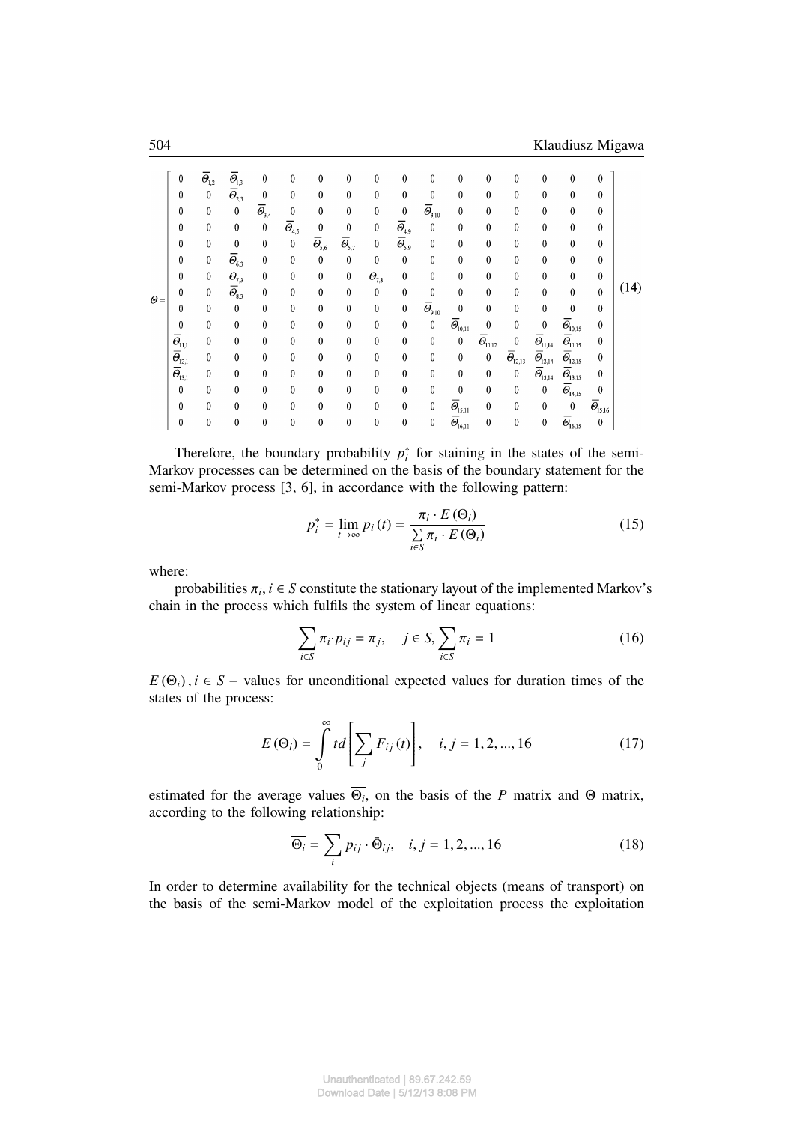|            | 0                                           | $\overline{\Theta}_{\! \! 1,2}$ | $\overline{\Theta}_{1,3}$                      | $\boldsymbol{0}$          | $\mathbf{0}$                                 | $\bf{0}$                                      | 0                         | 0                            | 0                                                       | $\boldsymbol{0}$                                       | $\bf{0}$                                           | $\bf{0}$                    | 0                           | $\boldsymbol{0}$                                  | $\boldsymbol{0}$                                 | 0                           |      |
|------------|---------------------------------------------|---------------------------------|------------------------------------------------|---------------------------|----------------------------------------------|-----------------------------------------------|---------------------------|------------------------------|---------------------------------------------------------|--------------------------------------------------------|----------------------------------------------------|-----------------------------|-----------------------------|---------------------------------------------------|--------------------------------------------------|-----------------------------|------|
|            | 0                                           | $\pmb{0}$                       | $\overline{\varTheta}_{\scriptscriptstyle2,3}$ | $\boldsymbol{0}$          | $\bf{0}$                                     | $\bf{0}$                                      | 0                         | 0                            | 0                                                       | $\boldsymbol{0}$                                       | $\bf{0}$                                           | $\bf{0}$                    | $\bf{0}$                    | 0                                                 | 0                                                | 0                           |      |
|            | 0                                           | $\bf{0}$                        | $\boldsymbol{0}$                               | $\overline{\Theta}_{3,4}$ | $\boldsymbol{0}$                             | $\bf{0}$                                      | 0                         | 0                            | $\pmb{0}$                                               | $\overline{\Theta}_{3,10}$                             | $\bf{0}$                                           | $\bf{0}$                    | $\bf{0}$                    | $\mathbf{0}$                                      | 0                                                | 0                           |      |
|            | $\boldsymbol{0}$                            | $\bf{0}$                        | $\boldsymbol{0}$                               | $\pmb{0}$                 | $\overline{\Theta}_{\scriptscriptstyle 4,5}$ | $\bf{0}$                                      | $\boldsymbol{0}$          | 0                            | $\overline{\Theta}_{4,9}$                               | $\bf{0}$                                               | $\boldsymbol{0}$                                   | $\bf{0}$                    | $\bf{0}$                    | $\boldsymbol{0}$                                  | $\boldsymbol{0}$                                 | 0                           | (14) |
|            | $\bf{0}$                                    | 0                               | $\bf{0}$                                       | $\bf{0}$                  | $\bf{0}$                                     | $\overline{\Theta}_{\scriptscriptstyle{5,6}}$ | $\overline{\Theta}_{5,7}$ | 0                            | $\overline{\varTheta}_{\scriptscriptstyle\mathsf{5,9}}$ | $\bf{0}$                                               | $\bf{0}$                                           | $\bf{0}$                    | $\bf{0}$                    | $\boldsymbol{0}$                                  | $\boldsymbol{0}$                                 | 0                           |      |
| $\Theta =$ | 0                                           | $\bf{0}$                        | $\overline{\varTheta}_{6,3}$                   | $\mathbf{0}$              | $\boldsymbol{0}$                             | $\pmb{0}$                                     | 0                         | 0                            | $\pmb{0}$                                               | $\boldsymbol{0}$                                       | $\bf{0}$                                           | $\bf{0}$                    | $\mathbf{0}$                | 0                                                 | 0                                                | $\boldsymbol{0}$            |      |
|            | 0                                           | $\bf{0}$                        | $\overline{\varTheta}_{7,3}$                   | $\bf{0}$                  | $\boldsymbol{0}$                             | $\bf{0}$                                      | $\boldsymbol{0}$          | $\overline{\varTheta}_{7,8}$ | $\pmb{0}$                                               | $\bf{0}$                                               | 0                                                  | $\bf{0}$                    | $\boldsymbol{0}$            | $\bf{0}$                                          | 0                                                | 0                           |      |
|            | $\boldsymbol{0}$                            | $\pmb{0}$                       | $\overline{\Theta}_{\!\scriptscriptstyle 8,3}$ | $\boldsymbol{0}$          | $\boldsymbol{0}$                             | $\boldsymbol{0}$                              | $\bf{0}$                  | 0                            | $\boldsymbol{0}$                                        | $\bf{0}$                                               | $\bf{0}$                                           | $\bf{0}$                    | $\mathbf{0}$                | $\bf{0}$                                          | $\boldsymbol{0}$                                 | $\mathbf{0}$                |      |
|            | 0                                           | $\bf{0}$                        | $\boldsymbol{0}$                               | $\boldsymbol{0}$          | $\boldsymbol{0}$                             | 0                                             | 0                         | 0                            | $\boldsymbol{0}$                                        | $\overline{\varTheta}_{\!{\mathfrak{g}},\mathfrak{g}}$ | $\boldsymbol{0}$                                   | $\bf{0}$                    | $\bf{0}$                    | $\bf{0}$                                          | $\mathbf{0}$                                     | $\boldsymbol{0}$            |      |
|            | $\bf{0}$                                    | $\bf{0}$                        | $\bf{0}$                                       | $\bf{0}$                  | $\bf{0}$                                     | 0                                             | 0                         | 0                            | $\pmb{0}$                                               | $\pmb{0}$                                              | $\overline{\varTheta}_{\scriptscriptstyle 10,11}$  | $\bf{0}$                    | $\bf{0}$                    | $\bf{0}$                                          | $\overline{\Theta}_{10,15}$                      | 0                           |      |
|            | $\overline{\Theta}_{11,1}$                  | $\bf{0}$                        | $\boldsymbol{0}$                               | $\boldsymbol{0}$          | $\boldsymbol{0}$                             | $\bf{0}$                                      | $\boldsymbol{0}$          | 0                            | 0                                                       | $\boldsymbol{0}$                                       | $\boldsymbol{0}$                                   | $\overline{\Theta}_{11,12}$ | $\boldsymbol{0}$            | $\overline{\varTheta}_{\scriptscriptstyle 11,14}$ | $\overline{\Theta}_{11,15}$                      | $\bf{0}$                    |      |
|            | ${}^{\dagger}\, \overline{\Theta}_{\!12,1}$ | $\bf{0}$                        | 0                                              | $\bf{0}$                  | $\bf{0}$                                     | 0                                             | 0                         | 0                            | $\boldsymbol{0}$                                        | 0                                                      | $\bf{0}$                                           | $\bf{0}$                    | $\overline{\Theta}_{12,13}$ | $\overline{\Theta}_{12,14}$                       | $\overline{\Theta}_{\scriptscriptstyle 12,15}$   | 0                           |      |
|            | $\overline{\Theta}_{13,1}$                  | $\bf{0}$                        | $\bf{0}$                                       | $\bf{0}$                  | $\boldsymbol{0}$                             | $\boldsymbol{0}$                              | 0                         | 0                            | $\boldsymbol{0}$                                        | $\boldsymbol{0}$                                       | $\bf{0}$                                           | $\bf{0}$                    | $\pmb{0}$                   | $\overline{\Theta}_{13,14}$                       | $\overline{\Theta}_{\scriptscriptstyle \!13,15}$ | 0                           |      |
|            | $\pmb{0}$                                   | $\bf{0}$                        | 0                                              | $\bf{0}$                  | $\boldsymbol{0}$                             | $\boldsymbol{0}$                              | $\boldsymbol{0}$          | 0                            | $\boldsymbol{0}$                                        | $\boldsymbol{0}$                                       | $\boldsymbol{0}$                                   | $\bf{0}$                    | $\boldsymbol{0}$            | $\pmb{0}$                                         | $\bar{\varTheta}_{\scriptscriptstyle{14,15}}$    | 0                           |      |
|            | $\bf{0}$                                    | $\bf{0}$                        | $\bf{0}$                                       | $\bf{0}$                  | $\bf{0}$                                     | $\bf{0}$                                      | $\pmb{0}$                 | 0                            | $\bf{0}$                                                | $\bf{0}$                                               | $\overline{\Theta}_{15,11}$                        | $\bf{0}$                    | $\bf{0}$                    | $\bf{0}$                                          | $\boldsymbol{0}$                                 | $\overline{\Theta}_{15,16}$ |      |
|            | $\boldsymbol{0}$                            | $\boldsymbol{0}$                | $\bf{0}$                                       | $\boldsymbol{0}$          | $\boldsymbol{0}$                             | $\boldsymbol{0}$                              | $\mathbf{0}$              | 0                            | $\boldsymbol{0}$                                        | $\pmb{0}$                                              | $\overline{\varTheta}_{\scriptscriptstyle{16,11}}$ | $\boldsymbol{0}$            | $\bf{0}$                    | $\bf{0}$                                          | $\overline{\Theta}_{16,15}$                      | $\boldsymbol{0}$            |      |

Therefore, the boundary probability  $p_i^*$  for staining in the states of the semi-Markov processes can be determined on the basis of the boundary statement for the semi-Markov process [3, 6], in accordance with the following pattern:

$$
p_i^* = \lim_{t \to \infty} p_i(t) = \frac{\pi_i \cdot E(\Theta_i)}{\sum_{i \in S} \pi_i \cdot E(\Theta_i)}
$$
(15)

where:

probabilities  $\pi_i$ ,  $i \in S$  constitute the stationary layout of the implemented Markov's chain in the process which fulfils the system of linear equations:

$$
\sum_{i \in S} \pi_i \cdot p_{ij} = \pi_j, \quad j \in S, \sum_{i \in S} \pi_i = 1
$$
 (16)

 $E(\Theta_i)$ ,  $i \in S$  – values for unconditional expected values for duration times of the states of the process:

$$
E(\Theta_i) = \int_{0}^{\infty} t d \left[ \sum_{j} F_{ij}(t) \right], \quad i, j = 1, 2, ..., 16
$$
 (17)

estimated for the average values  $\Theta_i$ , on the basis of the *P* matrix and  $\Theta$  matrix, according to the following relationship:

$$
\overline{\Theta_i} = \sum_i p_{ij} \cdot \overline{\Theta}_{ij}, \quad i, j = 1, 2, ..., 16
$$
 (18)

In order to determine availability for the technical objects (means of transport) on the basis of the semi-Markov model of the exploitation process the exploitation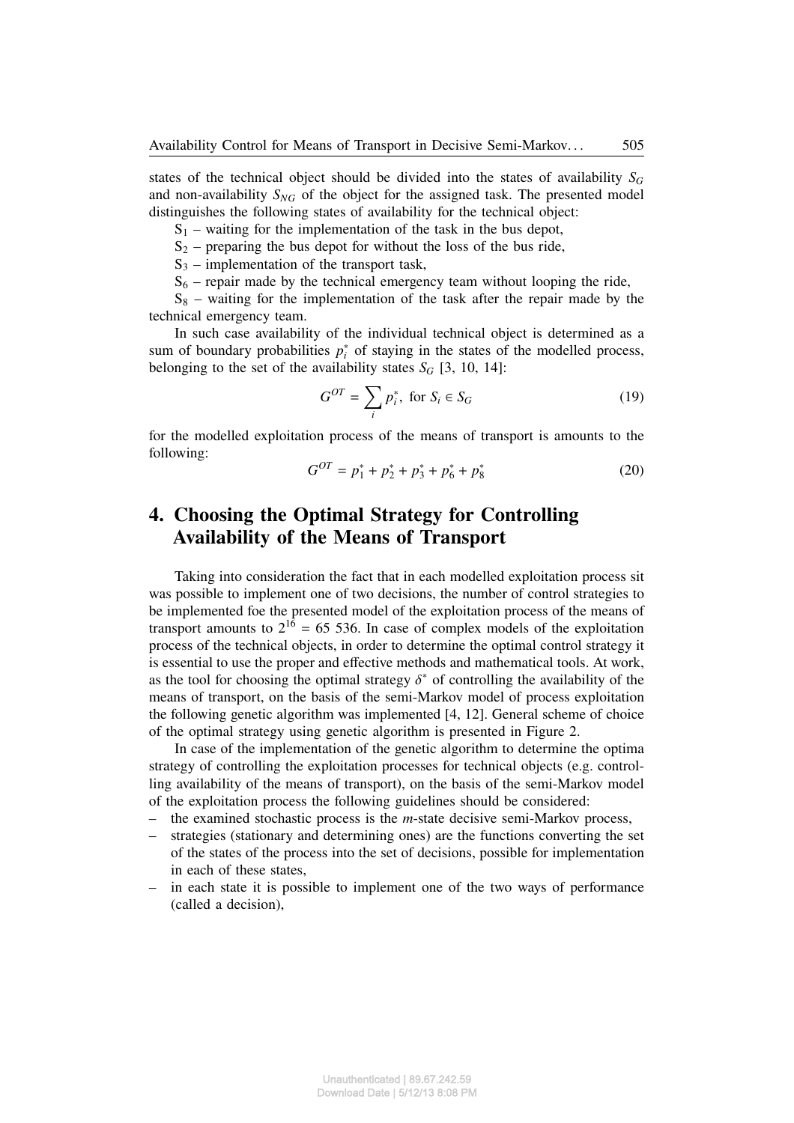states of the technical object should be divided into the states of availability  $S_G$ and non-availability  $S_{NG}$  of the object for the assigned task. The presented model distinguishes the following states of availability for the technical object:

 $S_1$  – waiting for the implementation of the task in the bus depot,

 $S_2$  – preparing the bus depot for without the loss of the bus ride,

 $S_3$  – implementation of the transport task,

 $S_6$  – repair made by the technical emergency team without looping the ride,

 $S_8$  – waiting for the implementation of the task after the repair made by the technical emergency team.

In such case availability of the individual technical object is determined as a sum of boundary probabilities  $p_i^*$  of staying in the states of the modelled process, belonging to the set of the availability states  $S_G$  [3, 10, 14]:

$$
G^{OT} = \sum_{i} p_i^*, \text{ for } S_i \in S_G \tag{19}
$$

for the modelled exploitation process of the means of transport is amounts to the following:

$$
G^{OT} = p_1^* + p_2^* + p_3^* + p_6^* + p_8^*
$$
 (20)

# **4. Choosing the Optimal Strategy for Controlling Availability of the Means of Transport**

Taking into consideration the fact that in each modelled exploitation process sit was possible to implement one of two decisions, the number of control strategies to be implemented foe the presented model of the exploitation process of the means of transport amounts to  $2^{16} = 65,536$ . In case of complex models of the exploitation process of the technical objects, in order to determine the optimal control strategy it is essential to use the proper and effective methods and mathematical tools. At work, as the tool for choosing the optimal strategy  $\delta^*$  of controlling the availability of the means of transport, on the basis of the semi-Markov model of process exploitation the following genetic algorithm was implemented [4, 12]. General scheme of choice of the optimal strategy using genetic algorithm is presented in Figure 2.

In case of the implementation of the genetic algorithm to determine the optima strategy of controlling the exploitation processes for technical objects (e.g. controlling availability of the means of transport), on the basis of the semi-Markov model of the exploitation process the following guidelines should be considered:

- the examined stochastic process is the *m*-state decisive semi-Markov process,
- strategies (stationary and determining ones) are the functions converting the set of the states of the process into the set of decisions, possible for implementation in each of these states,
- in each state it is possible to implement one of the two ways of performance (called a decision),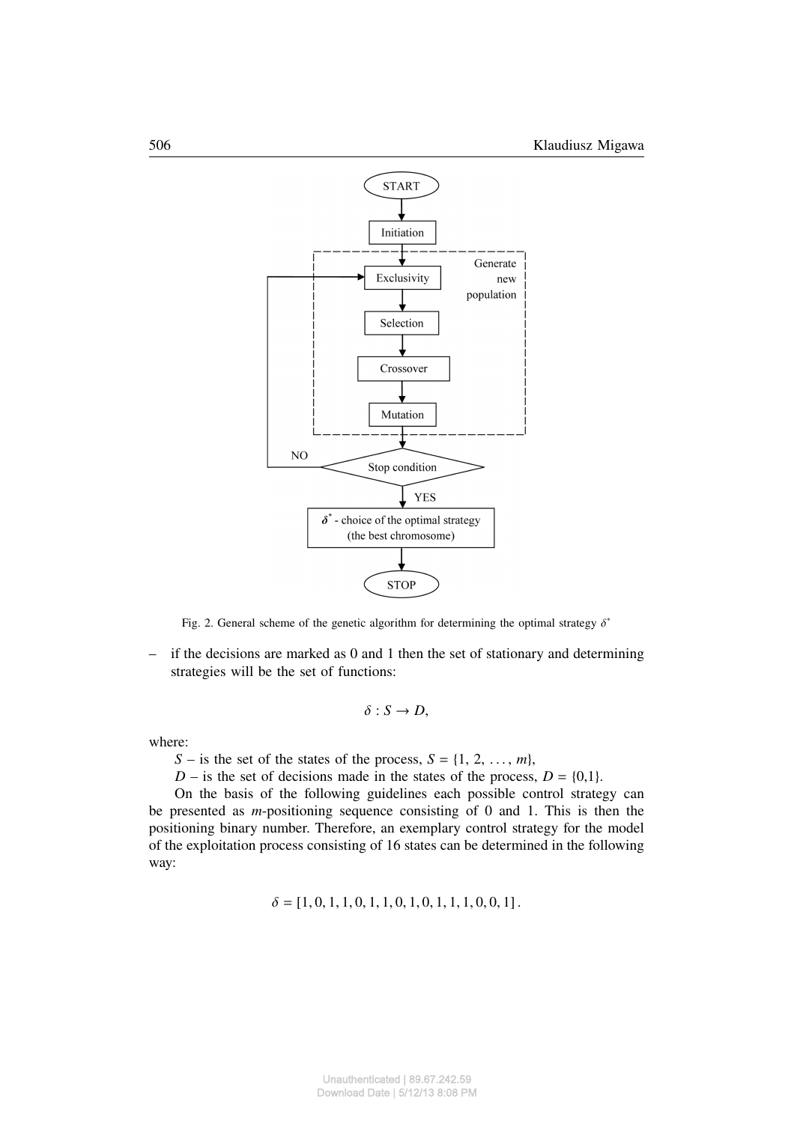

Fig. 2. General scheme of the genetic algorithm for determining the optimal strategy  $\delta^*$ 

 $-$  if the decisions are marked as 0 and 1 then the set of stationary and determining strategies will be the set of functions:

$$
\delta: S \to D,
$$

where:

*S* – is the set of the states of the process,  $S = \{1, 2, \ldots, m\}$ ,

*D* – is the set of decisions made in the states of the process, *D* = {0,1}.

On the basis of the following guidelines each possible control strategy can be presented as *m*-positioning sequence consisting of 0 and 1. This is then the positioning binary number. Therefore, an exemplary control strategy for the model of the exploitation process consisting of 16 states can be determined in the following way:

 $\delta = [1, 0, 1, 1, 0, 1, 1, 0, 1, 0, 1, 1, 1, 0, 0, 1].$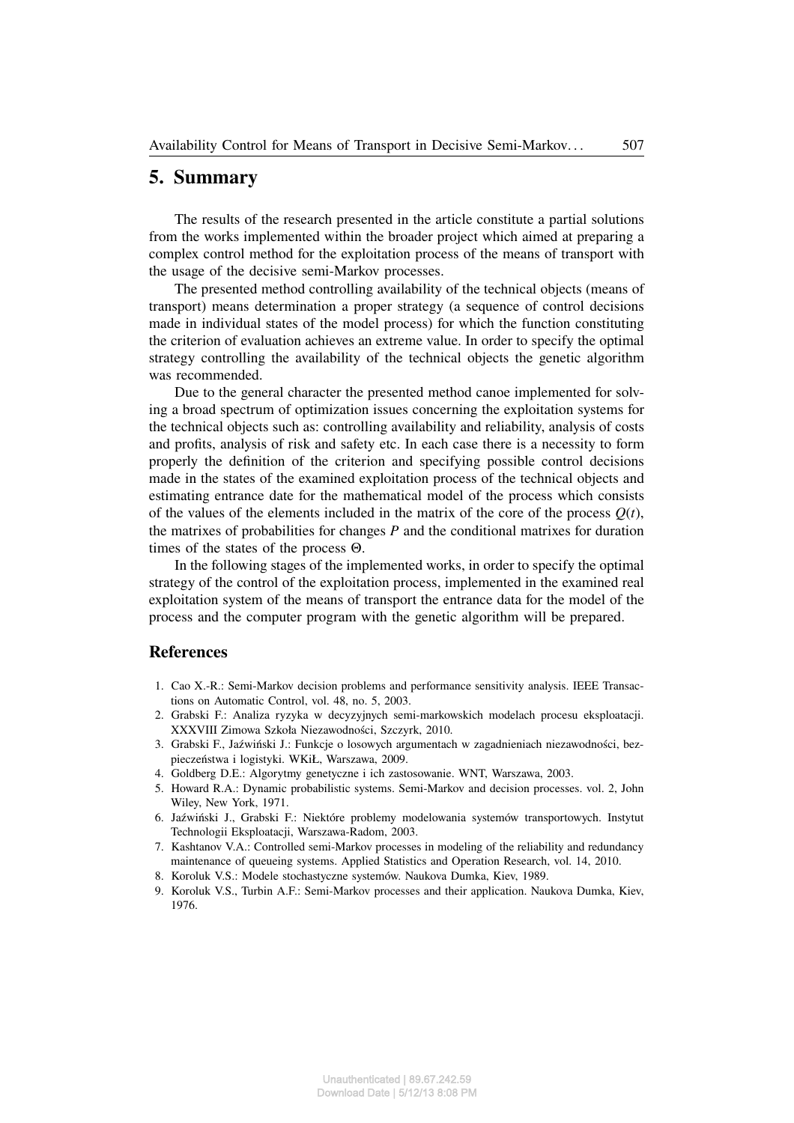#### **5. Summary**

The results of the research presented in the article constitute a partial solutions from the works implemented within the broader project which aimed at preparing a complex control method for the exploitation process of the means of transport with the usage of the decisive semi-Markov processes.

The presented method controlling availability of the technical objects (means of transport) means determination a proper strategy (a sequence of control decisions made in individual states of the model process) for which the function constituting the criterion of evaluation achieves an extreme value. In order to specify the optimal strategy controlling the availability of the technical objects the genetic algorithm was recommended.

Due to the general character the presented method canoe implemented for solving a broad spectrum of optimization issues concerning the exploitation systems for the technical objects such as: controlling availability and reliability, analysis of costs and profits, analysis of risk and safety etc. In each case there is a necessity to form properly the definition of the criterion and specifying possible control decisions made in the states of the examined exploitation process of the technical objects and estimating entrance date for the mathematical model of the process which consists of the values of the elements included in the matrix of the core of the process  $Q(t)$ , the matrixes of probabilities for changes *P* and the conditional matrixes for duration times of the states of the process Θ.

In the following stages of the implemented works, in order to specify the optimal strategy of the control of the exploitation process, implemented in the examined real exploitation system of the means of transport the entrance data for the model of the process and the computer program with the genetic algorithm will be prepared.

#### **References**

- 1. Cao X.-R.: Semi-Markov decision problems and performance sensitivity analysis. IEEE Transactions on Automatic Control, vol. 48, no. 5, 2003.
- 2. Grabski F.: Analiza ryzyka w decyzyjnych semi-markowskich modelach procesu eksploatacji. XXXVIII Zimowa Szkoła Niezawodności, Szczyrk, 2010.
- 3. Grabski F., Jaźwiński J.: Funkcje o losowych argumentach w zagadnieniach niezawodności, bezpieczeństwa i logistyki. WKiŁ, Warszawa, 2009.
- 4. Goldberg D.E.: Algorytmy genetyczne i ich zastosowanie. WNT, Warszawa, 2003.
- 5. Howard R.A.: Dynamic probabilistic systems. Semi-Markov and decision processes. vol. 2, John Wiley, New York, 1971.
- 6. Jaźwiński J., Grabski F.: Niektóre problemy modelowania systemów transportowych. Instytut Technologii Eksploatacji, Warszawa-Radom, 2003.
- 7. Kashtanov V.A.: Controlled semi-Markov processes in modeling of the reliability and redundancy maintenance of queueing systems. Applied Statistics and Operation Research, vol. 14, 2010.
- 8. Koroluk V.S.: Modele stochastyczne systemów. Naukova Dumka, Kiev, 1989.
- 9. Koroluk V.S., Turbin A.F.: Semi-Markov processes and their application. Naukova Dumka, Kiev, 1976.